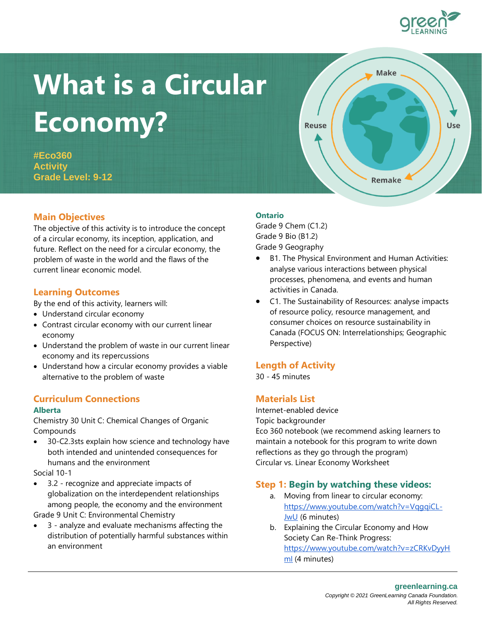# **What is a Circular Economy?**

**#Eco360 Activity Grade Level: 9-12**

# **Main Objectives**

The objective of this activity is to introduce the concept of a circular economy, its inception, application, and future. Reflect on the need for a circular economy, the problem of waste in the world and the flaws of the current linear economic model.

## **Learning Outcomes**

By the end of this activity, learners will:

- Understand circular economy
- Contrast circular economy with our current linear economy
- Understand the problem of waste in our current linear economy and its repercussions
- Understand how a circular economy provides a viable alternative to the problem of waste

# **Curriculum Connections**

#### **Alberta**

Chemistry 30 Unit C: Chemical Changes of Organic Compounds

• 30-C2.3sts explain how science and technology have both intended and unintended consequences for humans and the environment

Social 10-1

• 3.2 - recognize and appreciate impacts of globalization on the interdependent relationships among people, the economy and the environment

Grade 9 Unit C: Environmental Chemistry

• 3 - analyze and evaluate mechanisms affecting the distribution of potentially harmful substances within an environment

#### **Ontario**

Grade 9 Chem (C1.2) Grade 9 Bio (B1.2) Grade 9 Geography

Reuse

- B1. The Physical Environment and Human Activities: analyse various interactions between physical processes, phenomena, and events and human activities in Canada.
- C1. The Sustainability of Resources: analyse impacts of resource policy, resource management, and consumer choices on resource sustainability in Canada (FOCUS ON: Interrelationships; Geographic Perspective)

## **Length of Activity**

30 - 45 minutes

# **Materials List**

Internet-enabled device Topic backgrounder Eco 360 notebook (we recommend asking learners to maintain a notebook for this program to write down reflections as they go through the program) Circular vs. Linear Economy Worksheet

# **Step 1: Begin by watching these videos:**

- a. Moving from linear to circular economy: https://www.youtube.com/watch?v=VqqqiCL-[JwU](https://www.youtube.com/watch?v=VqgqiCL-JwU) (6 minutes)
- b. Explaining the Circular Economy and How Society Can Re-Think Progress: [https://www.youtube.com/watch?v=zCRKvDyyH](https://www.youtube.com/watch?v=zCRKvDyyHmI) [mI](https://www.youtube.com/watch?v=zCRKvDyyHmI) (4 minutes)



Use

**Make** 

**Remake**